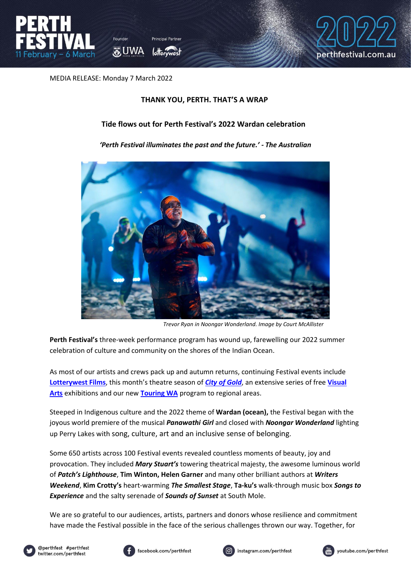



MEDIA RELEASE: Monday 7 March 2022

## **THANK YOU, PERTH. THAT'S A WRAP**

## **Tide flows out for Perth Festival's 2022 Wardan celebration**

### *'Perth Festival illuminates the past and the future.' - The Australian*



*Trevor Ryan in Noongar Wonderland. Image by Court McAllister*

**Perth Festival's** three-week performance program has wound up, farewelling our 2022 summer celebration of culture and community on the shores of the Indian Ocean.

As most of our artists and crews pack up and autumn returns, continuing Festival events include **[Lotterywest Films](https://www.perthfestival.com.au/categories/film/)**, this month's theatre season of *[City of Gold](https://www.perthfestival.com.au/events/city-of-gold/)*, an extensive series of free **[Visual](https://www.perthfestival.com.au/categories/visual-arts/)  [Arts](https://www.perthfestival.com.au/categories/visual-arts/)** exhibitions and our new **[Touring WA](https://www.perthfestival.com.au/categories/touring-wa/)** program to regional areas.

Steeped in Indigenous culture and the 2022 theme of **Wardan (ocean),** the Festival began with the joyous world premiere of the musical *Panawathi Girl* and closed with *Noongar Wonderland* lighting up Perry Lakes with song, culture, art and an inclusive sense of belonging.

Some 650 artists across 100 Festival events revealed countless moments of beauty, joy and provocation. They included *Mary Stuart's* towering theatrical majesty, the awesome luminous world of *Patch's Lighthouse*, **Tim Winton, Helen Garner** and many other brilliant authors at *Writers Weekend*, **Kim Crotty's** heart-warming *The Smallest Stage*, **Ta-ku's** walk-through music box *Songs to Experience* and the salty serenade of *Sounds of Sunset* at South Mole.

We are so grateful to our audiences, artists, partners and donors whose resilience and commitment have made the Festival possible in the face of the serious challenges thrown our way. Together, for







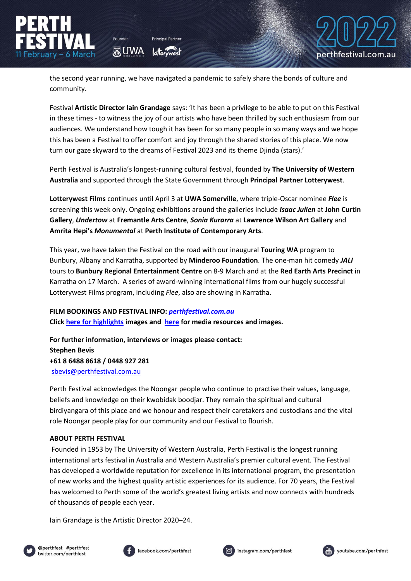the second year running, we have navigated a pandemic to safely share the bonds of culture and community.

**O** UWA

Festival **Artistic Director Iain Grandage** says: 'It has been a privilege to be able to put on this Festival in these times - to witness the joy of our artists who have been thrilled by such enthusiasm from our audiences. We understand how tough it has been for so many people in so many ways and we hope this has been a Festival to offer comfort and joy through the shared stories of this place. We now turn our gaze skyward to the dreams of Festival 2023 and its theme Djinda (stars).'

Perth Festival is Australia's longest-running cultural festival, founded by **The University of Western Australia** and supported through the State Government through **Principal Partner Lotterywest**.

**Lotterywest Films** continues until April 3 at **UWA Somerville**, where triple-Oscar nominee *Flee* is screening this week only. Ongoing exhibitions around the galleries include *Isaac Julien* at **John Curtin Gallery**, *Undertow* at **Fremantle Arts Centre**, *Sonia Kurarra* at **Lawrence Wilson Art Gallery** and **Amrita Hepi's** *Monumental* at **Perth Institute of Contemporary Arts**.

This year, we have taken the Festival on the road with our inaugural **Touring WA** program to Bunbury, Albany and Karratha, supported by **Minderoo Foundation**. The one-man hit comedy *JALI* tours to **Bunbury Regional Entertainment Centre** on 8-9 March and at the **Red Earth Arts Precinct** in Karratha on 17 March. A series of award-winning international films from our hugely successful Lotterywest Films program, including *Flee*, also are showing in Karratha.

**FILM BOOKINGS AND FESTIVAL INFO:** *[perthfestival.com.au](https://www.perthfestival.com.au/)* **Clic[k here for highlights](https://cloud.perthfestival.com.au/index.php/s/WvJOKlv8qtJ98js) images and [here](https://www.perthfestival.com.au/media) for media resources and images.** 

**For further information, interviews or images please contact: Stephen Bevis +61 8 6488 8618 / 0448 927 281**  [sbevis@perthfestival.com.au](mailto:sbevis@perthfestival.com.au)

Perth Festival acknowledges the Noongar people who continue to practise their values, language, beliefs and knowledge on their kwobidak boodjar. They remain the spiritual and cultural birdiyangara of this place and we honour and respect their caretakers and custodians and the vital role Noongar people play for our community and our Festival to flourish.

#### **ABOUT PERTH FESTIVAL**

Founded in 1953 by The University of Western Australia, Perth Festival is the longest running international arts festival in Australia and Western Australia's premier cultural event. The Festival has developed a worldwide reputation for excellence in its international program, the presentation of new works and the highest quality artistic experiences for its audience. For 70 years, the Festival has welcomed to Perth some of the world's greatest living artists and now connects with hundreds of thousands of people each year.

Iain Grandage is the Artistic Director 2020–24.









perthfestival.com.au